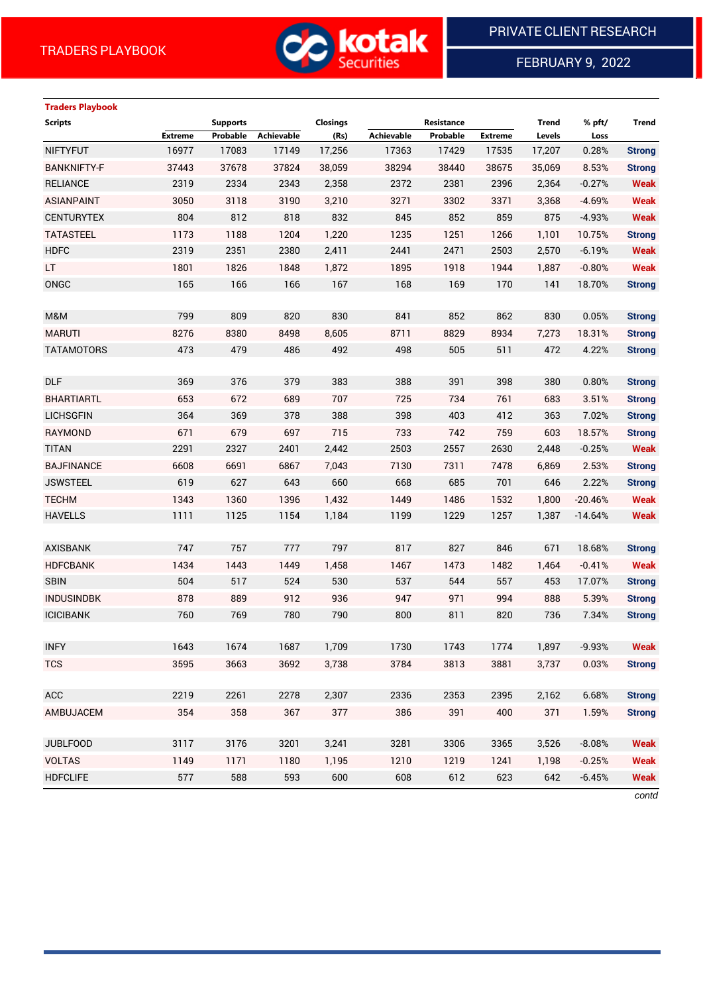

FEBRUARY 9, 2022

# **Traders Playbook**

| <b>Achievable</b><br>Achievable<br><b>Extreme</b><br>Probable<br>(Rs)<br>Probable<br><b>Extreme</b><br>Levels<br>Loss<br>16977<br>17083<br>17149<br>17,256<br>17429<br>17,207<br>0.28%<br><b>NIFTYFUT</b><br>17363<br>17535<br>37678<br><b>BANKNIFTY-F</b><br>37443<br>37824<br>38,059<br>38294<br>38440<br>38675<br>8.53%<br>35,069 | <b>Strong</b><br><b>Strong</b> |
|--------------------------------------------------------------------------------------------------------------------------------------------------------------------------------------------------------------------------------------------------------------------------------------------------------------------------------------|--------------------------------|
|                                                                                                                                                                                                                                                                                                                                      |                                |
|                                                                                                                                                                                                                                                                                                                                      |                                |
|                                                                                                                                                                                                                                                                                                                                      |                                |
| 2319<br>2334<br>2343<br>2,358<br>2372<br><b>RELIANCE</b><br>2381<br>2396<br>2,364<br>$-0.27%$                                                                                                                                                                                                                                        | <b>Weak</b>                    |
| <b>ASIANPAINT</b><br>3050<br>3118<br>3190<br>3,210<br>3271<br>3302<br>3371<br>3,368<br>$-4.69%$                                                                                                                                                                                                                                      | <b>Weak</b>                    |
| 804<br>812<br>818<br>852<br><b>CENTURYTEX</b><br>832<br>845<br>859<br>875<br>$-4.93%$                                                                                                                                                                                                                                                | <b>Weak</b>                    |
| <b>TATASTEEL</b><br>1173<br>1188<br>1204<br>1,220<br>1235<br>1251<br>1266<br>1,101<br>10.75%                                                                                                                                                                                                                                         | <b>Strong</b>                  |
| 2351<br><b>HDFC</b><br>2319<br>2380<br>2,411<br>2441<br>2471<br>2503<br>2,570<br>$-6.19%$                                                                                                                                                                                                                                            | <b>Weak</b>                    |
| 1801<br>LT.<br>1826<br>1848<br>1,872<br>1895<br>1918<br>1944<br>1,887<br>$-0.80%$                                                                                                                                                                                                                                                    | <b>Weak</b>                    |
| ONGC<br>165<br>166<br>166<br>167<br>168<br>169<br>141<br>170<br>18.70%                                                                                                                                                                                                                                                               | <b>Strong</b>                  |
|                                                                                                                                                                                                                                                                                                                                      |                                |
| 799<br>809<br>830<br>841<br>852<br>M&M<br>820<br>862<br>830<br>0.05%                                                                                                                                                                                                                                                                 | <b>Strong</b>                  |
| <b>MARUTI</b><br>8276<br>8380<br>8498<br>8711<br>8829<br>8934<br>18.31%<br>8,605<br>7,273                                                                                                                                                                                                                                            | <b>Strong</b>                  |
| 473<br>505<br>479<br>486<br>492<br>498<br>511<br>4.22%<br><b>TATAMOTORS</b><br>472                                                                                                                                                                                                                                                   | <b>Strong</b>                  |
|                                                                                                                                                                                                                                                                                                                                      |                                |
| <b>DLF</b><br>369<br>376<br>383<br>388<br>391<br>379<br>398<br>380<br>0.80%                                                                                                                                                                                                                                                          | <b>Strong</b>                  |
| 653<br>672<br>689<br>707<br>725<br>734<br>683<br>3.51%<br><b>BHARTIARTL</b><br>761                                                                                                                                                                                                                                                   | <b>Strong</b>                  |
| 364<br><b>LICHSGFIN</b><br>369<br>378<br>388<br>398<br>403<br>412<br>363<br>7.02%                                                                                                                                                                                                                                                    | <b>Strong</b>                  |
| <b>RAYMOND</b><br>671<br>679<br>697<br>715<br>733<br>742<br>759<br>603<br>18.57%                                                                                                                                                                                                                                                     | <b>Strong</b>                  |
| <b>TITAN</b><br>2291<br>2327<br>2401<br>2,442<br>2503<br>2557<br>2630<br>2,448<br>$-0.25%$                                                                                                                                                                                                                                           | <b>Weak</b>                    |
| <b>BAJFINANCE</b><br>6608<br>6691<br>6867<br>7,043<br>7130<br>7311<br>7478<br>2.53%<br>6,869                                                                                                                                                                                                                                         | <b>Strong</b>                  |
| <b>JSWSTEEL</b><br>619<br>627<br>643<br>660<br>668<br>685<br>701<br>646<br>2.22%                                                                                                                                                                                                                                                     | <b>Strong</b>                  |
| <b>TECHM</b><br>1343<br>1360<br>1396<br>1,432<br>1449<br>1486<br>1532<br>1,800<br>$-20.46%$                                                                                                                                                                                                                                          | <b>Weak</b>                    |
| 1111<br><b>HAVELLS</b><br>1125<br>1154<br>1,184<br>1199<br>1229<br>1257<br>1,387<br>$-14.64%$                                                                                                                                                                                                                                        | <b>Weak</b>                    |
|                                                                                                                                                                                                                                                                                                                                      |                                |
| 747<br>757<br>777<br>797<br>817<br>827<br>671<br>18.68%<br><b>AXISBANK</b><br>846                                                                                                                                                                                                                                                    | <b>Strong</b>                  |
| <b>HDFCBANK</b><br>1434<br>1443<br>1449<br>1467<br>1473<br>1482<br>$-0.41%$<br>1,458<br>1,464                                                                                                                                                                                                                                        | <b>Weak</b>                    |
| 504<br><b>SBIN</b><br>517<br>524<br>530<br>537<br>544<br>557<br>453<br>17.07%                                                                                                                                                                                                                                                        | <b>Strong</b>                  |
| 878<br>889<br>912<br>936<br>947<br>971<br>5.39%<br><b>INDUSINDBK</b><br>994<br>888                                                                                                                                                                                                                                                   | <b>Strong</b>                  |
| 760<br>780<br>790<br>800<br>811<br><b>ICICIBANK</b><br>769<br>820<br>736<br>7.34%                                                                                                                                                                                                                                                    | <b>Strong</b>                  |
|                                                                                                                                                                                                                                                                                                                                      |                                |
| <b>INFY</b><br>1643<br>1,897<br>$-9.93%$<br>1674<br>1687<br>1,709<br>1730<br>1743<br>1774                                                                                                                                                                                                                                            | Weak                           |
| <b>TCS</b><br>3595<br>3663<br>3692<br>3,738<br>3784<br>3813<br>3881<br>3,737<br>0.03%                                                                                                                                                                                                                                                | <b>Strong</b>                  |
|                                                                                                                                                                                                                                                                                                                                      |                                |
| <b>ACC</b><br>2219<br>2261<br>2278<br>2336<br>2353<br>2395<br>2,307<br>2,162<br>6.68%                                                                                                                                                                                                                                                | <b>Strong</b>                  |
| AMBUJACEM<br>354<br>358<br>367<br>377<br>386<br>391<br>400<br>371<br>1.59%                                                                                                                                                                                                                                                           | <b>Strong</b>                  |
|                                                                                                                                                                                                                                                                                                                                      |                                |
| <b>JUBLFOOD</b><br>3117<br>3176<br>3201<br>3281<br>3306<br>3,526<br>3,241<br>3365<br>$-8.08%$                                                                                                                                                                                                                                        | <b>Weak</b>                    |
| <b>VOLTAS</b><br>1171<br>1180<br>1,195<br>1210<br>1219<br>1149<br>1241<br>1,198<br>$-0.25%$                                                                                                                                                                                                                                          | <b>Weak</b>                    |
| 577<br>593<br>612<br><b>HDFCLIFE</b><br>588<br>600<br>608<br>623<br>642<br>$-6.45%$                                                                                                                                                                                                                                                  | <b>Weak</b>                    |

*contd*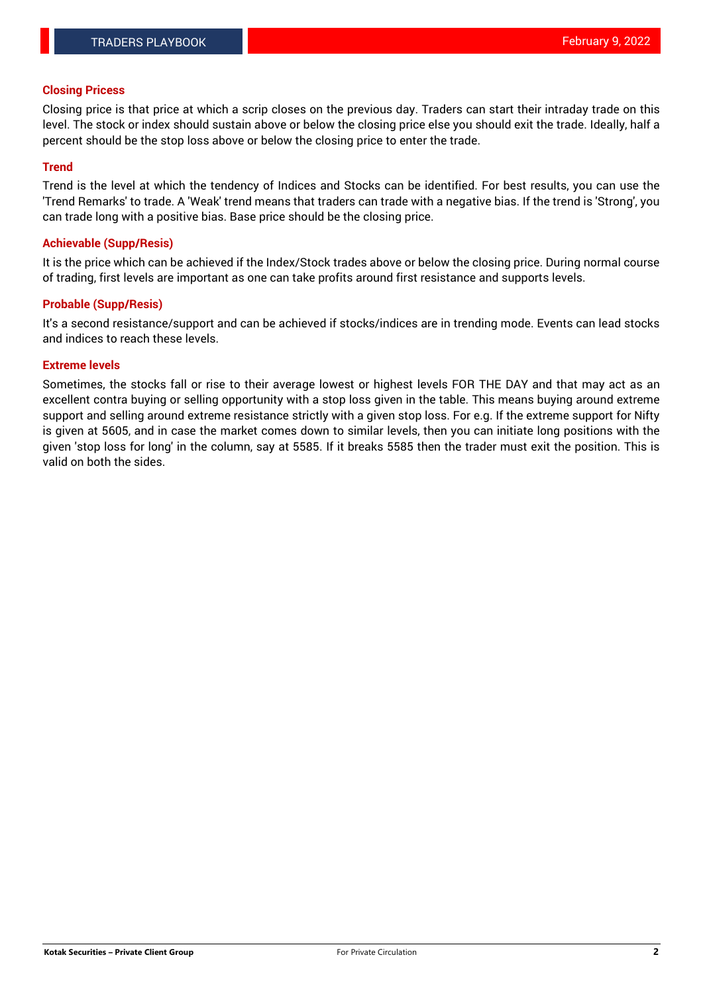#### **Closing Pricess**

Closing price is that price at which a scrip closes on the previous day. Traders can start their intraday trade on this level. The stock or index should sustain above or below the closing price else you should exit the trade. Ideally, half a percent should be the stop loss above or below the closing price to enter the trade.

#### **Trend**

Trend is the level at which the tendency of Indices and Stocks can be identified. For best results, you can use the 'Trend Remarks' to trade. A 'Weak' trend means that traders can trade with a negative bias. If the trend is 'Strong', you can trade long with a positive bias. Base price should be the closing price.

#### **Achievable (Supp/Resis)**

It is the price which can be achieved if the Index/Stock trades above or below the closing price. During normal course of trading, first levels are important as one can take profits around first resistance and supports levels.

#### **Probable (Supp/Resis)**

It's a second resistance/support and can be achieved if stocks/indices are in trending mode. Events can lead stocks and indices to reach these levels.

#### **Extreme levels**

Sometimes, the stocks fall or rise to their average lowest or highest levels FOR THE DAY and that may act as an excellent contra buying or selling opportunity with a stop loss given in the table. This means buying around extreme support and selling around extreme resistance strictly with a given stop loss. For e.g. If the extreme support for Nifty is given at 5605, and in case the market comes down to similar levels, then you can initiate long positions with the given 'stop loss for long' in the column, say at 5585. If it breaks 5585 then the trader must exit the position. This is valid on both the sides.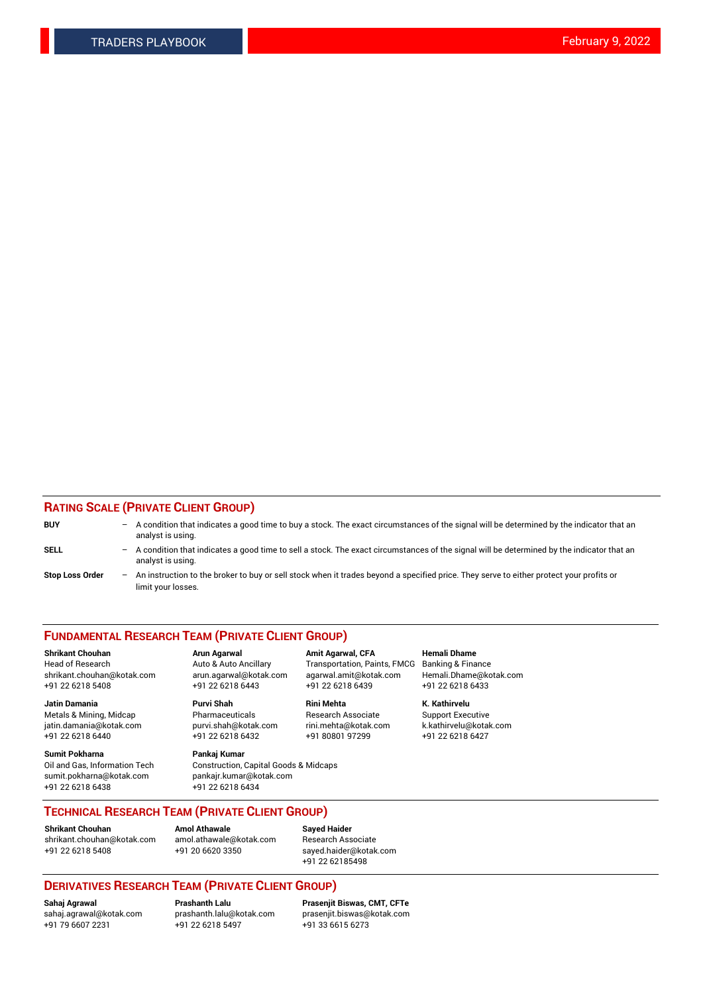#### **RATING SCALE (PRIVATE CLIENT GROUP)**

| <b>BUY</b>             | $-$ | A condition that indicates a good time to buy a stock. The exact circumstances of the signal will be determined by the indicator that an<br>analyst is using.    |
|------------------------|-----|------------------------------------------------------------------------------------------------------------------------------------------------------------------|
| <b>SELL</b>            |     | - A condition that indicates a good time to sell a stock. The exact circumstances of the signal will be determined by the indicator that an<br>analyst is using. |
| <b>Stop Loss Order</b> |     | - An instruction to the broker to buy or sell stock when it trades beyond a specified price. They serve to either protect your profits or<br>limit your losses.  |

#### **FUNDAMENTAL RESEARCH TEAM (PRIVATE CLIENT GROUP)**

**Shrikant Chouhan Arun Agarwal Amit Agarwal, CFA Hemali Dhame** Head of Research Auto & Auto Ancillary Transportation, Paints, FMCG Banking & Finance shrikant.chouhan@kotak.com arun.agarwal@kotak.com agarwal.amit@kotak.com Hemali.Dhame@kotak.com

**Jatin Damania Purvi Shah Rini Mehta K. Kathirvelu** Metals & Mining, Midcap **Pharmaceuticals** Research Associate Support Executive jatin.damania@kotak.com [purvi.shah@kotak.com](mailto:purvi.shah@kotak.com) rini.mehta@kotak.com [k.kathirvelu@kotak.com](mailto:k.kathirvelu@kotak.com)  $+91$  22 6218 6440  $+91$  22 6218 6432

**Sumit Pokharna Pankaj Kumar** sumit.pokharna@kotak.com pankajr.kumar@kotak.com +91 22 6218 6438 +91 22 6218 6434

Oil and Gas, Information Tech Construction, Capital Goods & Midcaps

+91 22 6218 5408 +91 22 6218 6443 +91 22 6218 6439 +91 22 6218 6433

**TECHNICAL RESEARCH TEAM (PRIVATE CLIENT GROUP)**

[shrikant.chouhan@kotak.com](mailto:shrikant.chouhan@kotak.com) [amol.athawale@kotak.com](mailto:amol.athawale@kotak.com) Research Associate +91 22 6218 5408 +91 20 6620 3350 [sayed.haider@kotak.com](mailto:sayed.haider@kotak.com)

**Shrikant Chouhan Amol Athawale Sayed Haider**

# +91 22 62185498

# **DERIVATIVES RESEARCH TEAM (PRIVATE CLIENT GROUP)**

 $+91$  22 6218 5497

**Sahaj Agrawal Prashanth Lalu Prasenjit Biswas, CMT, CFTe** [sahaj.agrawal@kotak.com](mailto:sahaj.agrawal@kotak.com) [prashanth.lalu@kotak.com](mailto:prashanth.lalu@kotak.com) [prasenjit.biswas@kotak.com](mailto:prasenjit.biswas@kotak.com)